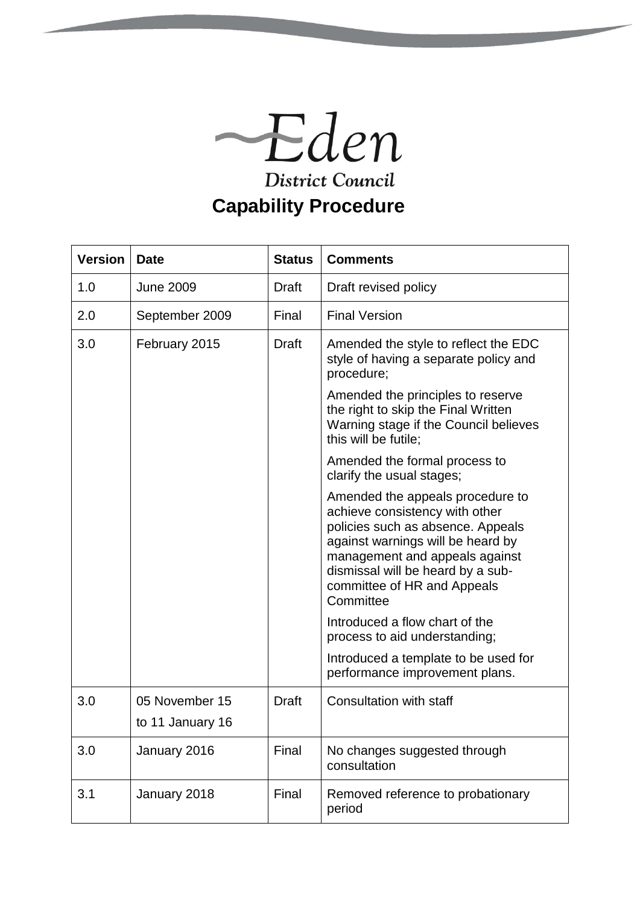

| <b>Version</b> | <b>Date</b>      | <b>Status</b> | <b>Comments</b>                                                                                                                                                                                                                                                 |
|----------------|------------------|---------------|-----------------------------------------------------------------------------------------------------------------------------------------------------------------------------------------------------------------------------------------------------------------|
| 1.0            | <b>June 2009</b> | Draft         | Draft revised policy                                                                                                                                                                                                                                            |
| 2.0            | September 2009   | Final         | <b>Final Version</b>                                                                                                                                                                                                                                            |
| 3.0            | February 2015    | Draft         | Amended the style to reflect the EDC<br>style of having a separate policy and<br>procedure;                                                                                                                                                                     |
|                |                  |               | Amended the principles to reserve<br>the right to skip the Final Written<br>Warning stage if the Council believes<br>this will be futile;                                                                                                                       |
|                |                  |               | Amended the formal process to<br>clarify the usual stages;                                                                                                                                                                                                      |
|                |                  |               | Amended the appeals procedure to<br>achieve consistency with other<br>policies such as absence. Appeals<br>against warnings will be heard by<br>management and appeals against<br>dismissal will be heard by a sub-<br>committee of HR and Appeals<br>Committee |
|                |                  |               | Introduced a flow chart of the<br>process to aid understanding;                                                                                                                                                                                                 |
|                |                  |               | Introduced a template to be used for<br>performance improvement plans.                                                                                                                                                                                          |
| 3.0            | 05 November 15   | Draft         | <b>Consultation with staff</b>                                                                                                                                                                                                                                  |
|                | to 11 January 16 |               |                                                                                                                                                                                                                                                                 |
| 3.0            | January 2016     | Final         | No changes suggested through<br>consultation                                                                                                                                                                                                                    |
| 3.1            | January 2018     | Final         | Removed reference to probationary<br>period                                                                                                                                                                                                                     |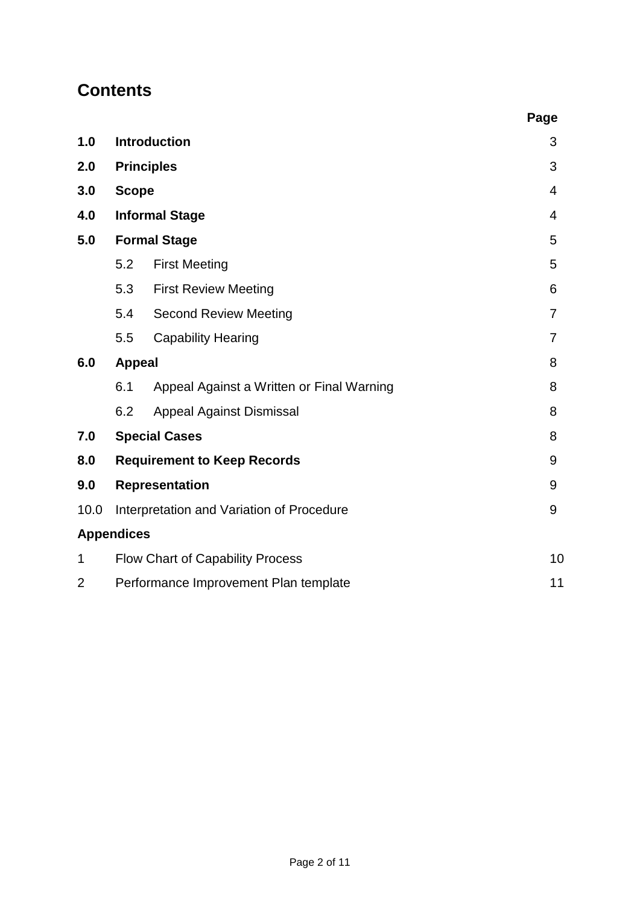# **Contents**

|                   |                                               |                                           | Page           |  |  |
|-------------------|-----------------------------------------------|-------------------------------------------|----------------|--|--|
| 1.0               | <b>Introduction</b>                           |                                           |                |  |  |
| 2.0               |                                               | <b>Principles</b>                         | 3              |  |  |
| 3.0               | <b>Scope</b>                                  | 4                                         |                |  |  |
| 4.0               | <b>Informal Stage</b>                         |                                           |                |  |  |
| 5.0               | <b>Formal Stage</b>                           | 5                                         |                |  |  |
|                   | 5.2                                           | <b>First Meeting</b>                      | 5              |  |  |
|                   | 5.3                                           | <b>First Review Meeting</b>               | 6              |  |  |
|                   | 5.4                                           | <b>Second Review Meeting</b>              | $\overline{7}$ |  |  |
|                   | 5.5                                           | <b>Capability Hearing</b>                 | $\overline{7}$ |  |  |
| 6.0               | <b>Appeal</b>                                 |                                           | 8              |  |  |
|                   | 6.1                                           | Appeal Against a Written or Final Warning | 8              |  |  |
|                   | 6.2                                           | <b>Appeal Against Dismissal</b>           | 8              |  |  |
| 7.0               | <b>Special Cases</b>                          |                                           | 8              |  |  |
| 8.0               | <b>Requirement to Keep Records</b>            |                                           | 9              |  |  |
| 9.0               | <b>Representation</b>                         |                                           |                |  |  |
| 10.0              | Interpretation and Variation of Procedure     |                                           | 9              |  |  |
| <b>Appendices</b> |                                               |                                           |                |  |  |
| 1                 | 10<br><b>Flow Chart of Capability Process</b> |                                           |                |  |  |
| 2                 | Performance Improvement Plan template<br>11   |                                           |                |  |  |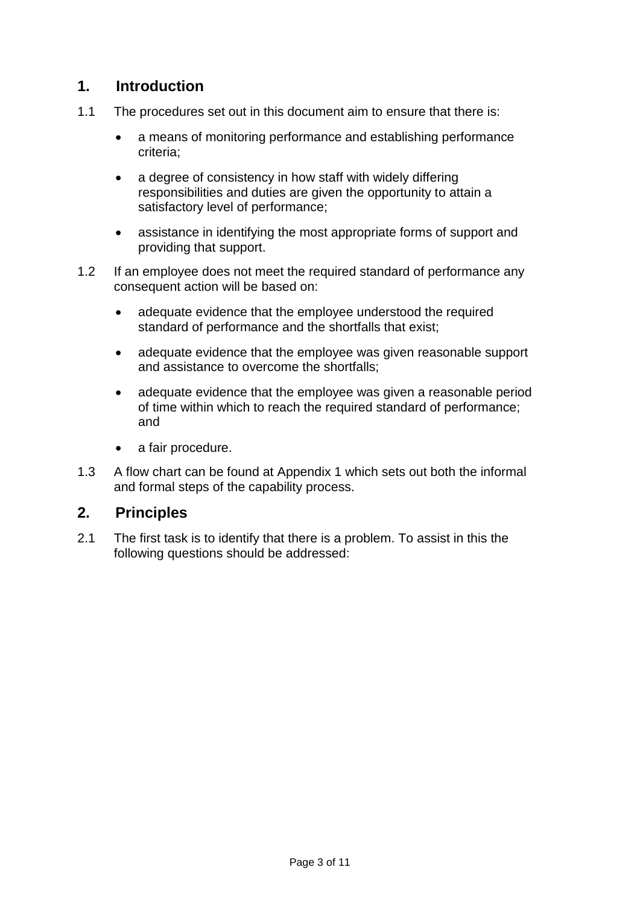# **1. Introduction**

- 1.1 The procedures set out in this document aim to ensure that there is:
	- a means of monitoring performance and establishing performance criteria;
	- a degree of consistency in how staff with widely differing responsibilities and duties are given the opportunity to attain a satisfactory level of performance;
	- assistance in identifying the most appropriate forms of support and providing that support.
- 1.2 If an employee does not meet the required standard of performance any consequent action will be based on:
	- adequate evidence that the employee understood the required standard of performance and the shortfalls that exist;
	- adequate evidence that the employee was given reasonable support and assistance to overcome the shortfalls;
	- adequate evidence that the employee was given a reasonable period of time within which to reach the required standard of performance; and
	- a fair procedure.
- 1.3 A flow chart can be found at Appendix 1 which sets out both the informal and formal steps of the capability process.

# **2. Principles**

2.1 The first task is to identify that there is a problem. To assist in this the following questions should be addressed: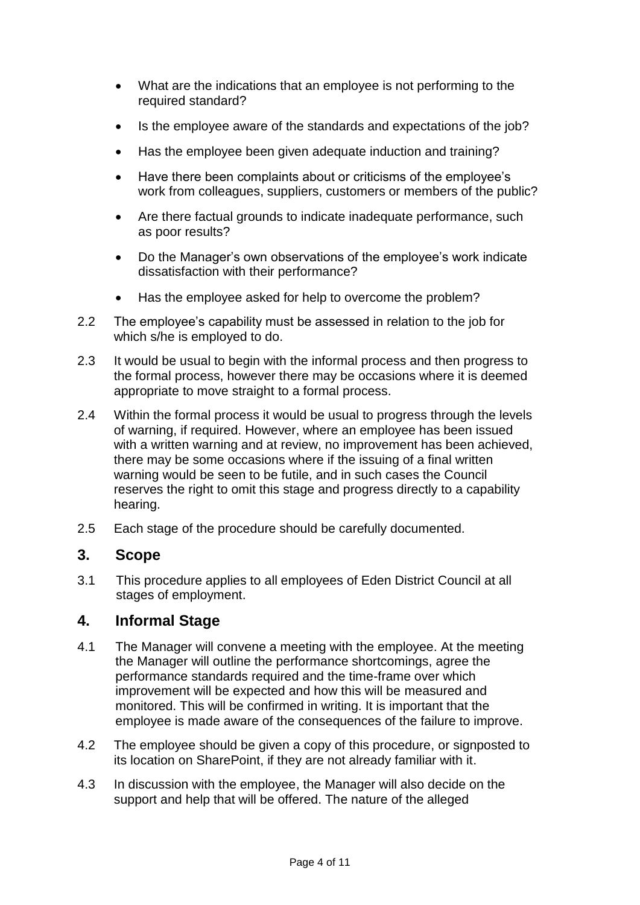- What are the indications that an employee is not performing to the required standard?
- Is the employee aware of the standards and expectations of the job?
- Has the employee been given adequate induction and training?
- Have there been complaints about or criticisms of the employee's work from colleagues, suppliers, customers or members of the public?
- Are there factual grounds to indicate inadequate performance, such as poor results?
- Do the Manager's own observations of the employee's work indicate dissatisfaction with their performance?
- Has the employee asked for help to overcome the problem?
- 2.2 The employee's capability must be assessed in relation to the job for which s/he is employed to do.
- 2.3 It would be usual to begin with the informal process and then progress to the formal process, however there may be occasions where it is deemed appropriate to move straight to a formal process.
- 2.4 Within the formal process it would be usual to progress through the levels of warning, if required. However, where an employee has been issued with a written warning and at review, no improvement has been achieved, there may be some occasions where if the issuing of a final written warning would be seen to be futile, and in such cases the Council reserves the right to omit this stage and progress directly to a capability hearing.
- 2.5 Each stage of the procedure should be carefully documented.

### **3. Scope**

3.1 This procedure applies to all employees of Eden District Council at all stages of employment.

### **4. Informal Stage**

- 4.1 The Manager will convene a meeting with the employee. At the meeting the Manager will outline the performance shortcomings, agree the performance standards required and the time-frame over which improvement will be expected and how this will be measured and monitored. This will be confirmed in writing. It is important that the employee is made aware of the consequences of the failure to improve.
- 4.2 The employee should be given a copy of this procedure, or signposted to its location on SharePoint, if they are not already familiar with it.
- 4.3 In discussion with the employee, the Manager will also decide on the support and help that will be offered. The nature of the alleged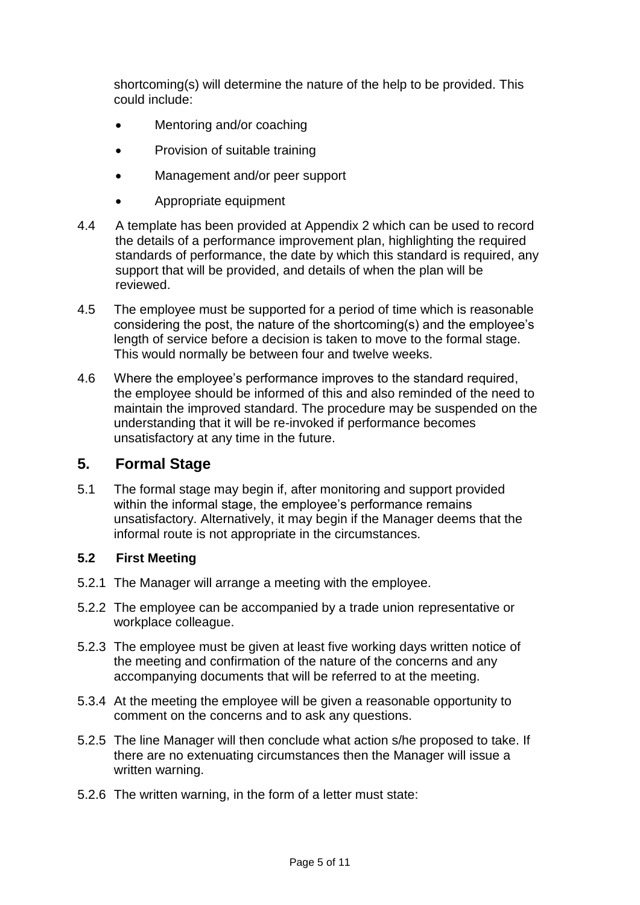shortcoming(s) will determine the nature of the help to be provided. This could include:

- Mentoring and/or coaching
- Provision of suitable training
- Management and/or peer support
- Appropriate equipment
- 4.4 A template has been provided at Appendix 2 which can be used to record the details of a performance improvement plan, highlighting the required standards of performance, the date by which this standard is required, any support that will be provided, and details of when the plan will be reviewed.
- 4.5 The employee must be supported for a period of time which is reasonable considering the post, the nature of the shortcoming(s) and the employee's length of service before a decision is taken to move to the formal stage. This would normally be between four and twelve weeks.
- 4.6 Where the employee's performance improves to the standard required, the employee should be informed of this and also reminded of the need to maintain the improved standard. The procedure may be suspended on the understanding that it will be re-invoked if performance becomes unsatisfactory at any time in the future.

### **5. Formal Stage**

5.1 The formal stage may begin if, after monitoring and support provided within the informal stage, the employee's performance remains unsatisfactory. Alternatively, it may begin if the Manager deems that the informal route is not appropriate in the circumstances.

#### **5.2 First Meeting**

- 5.2.1 The Manager will arrange a meeting with the employee.
- 5.2.2 The employee can be accompanied by a trade union representative or workplace colleague.
- 5.2.3 The employee must be given at least five working days written notice of the meeting and confirmation of the nature of the concerns and any accompanying documents that will be referred to at the meeting.
- 5.3.4 At the meeting the employee will be given a reasonable opportunity to comment on the concerns and to ask any questions.
- 5.2.5 The line Manager will then conclude what action s/he proposed to take. If there are no extenuating circumstances then the Manager will issue a written warning.
- 5.2.6 The written warning, in the form of a letter must state: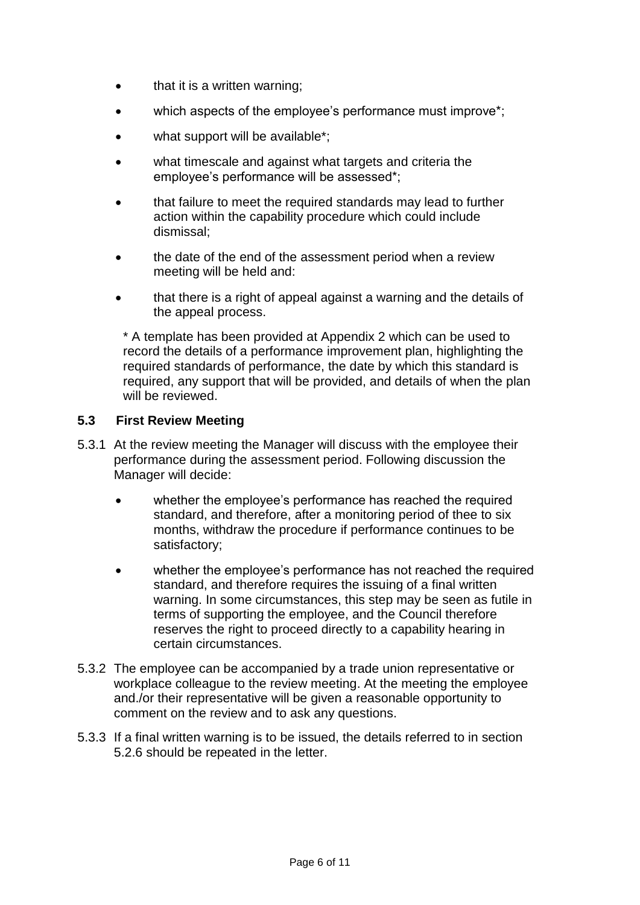- that it is a written warning;
- which aspects of the employee's performance must improve\*;
- what support will be available\*;
- what timescale and against what targets and criteria the employee's performance will be assessed\*;
- that failure to meet the required standards may lead to further action within the capability procedure which could include dismissal;
- the date of the end of the assessment period when a review meeting will be held and:
- that there is a right of appeal against a warning and the details of the appeal process.

\* A template has been provided at Appendix 2 which can be used to record the details of a performance improvement plan, highlighting the required standards of performance, the date by which this standard is required, any support that will be provided, and details of when the plan will be reviewed.

#### **5.3 First Review Meeting**

- 5.3.1 At the review meeting the Manager will discuss with the employee their performance during the assessment period. Following discussion the Manager will decide:
	- whether the employee's performance has reached the required standard, and therefore, after a monitoring period of thee to six months, withdraw the procedure if performance continues to be satisfactory;
	- whether the employee's performance has not reached the required standard, and therefore requires the issuing of a final written warning. In some circumstances, this step may be seen as futile in terms of supporting the employee, and the Council therefore reserves the right to proceed directly to a capability hearing in certain circumstances.
- 5.3.2 The employee can be accompanied by a trade union representative or workplace colleague to the review meeting. At the meeting the employee and./or their representative will be given a reasonable opportunity to comment on the review and to ask any questions.
- 5.3.3 If a final written warning is to be issued, the details referred to in section 5.2.6 should be repeated in the letter.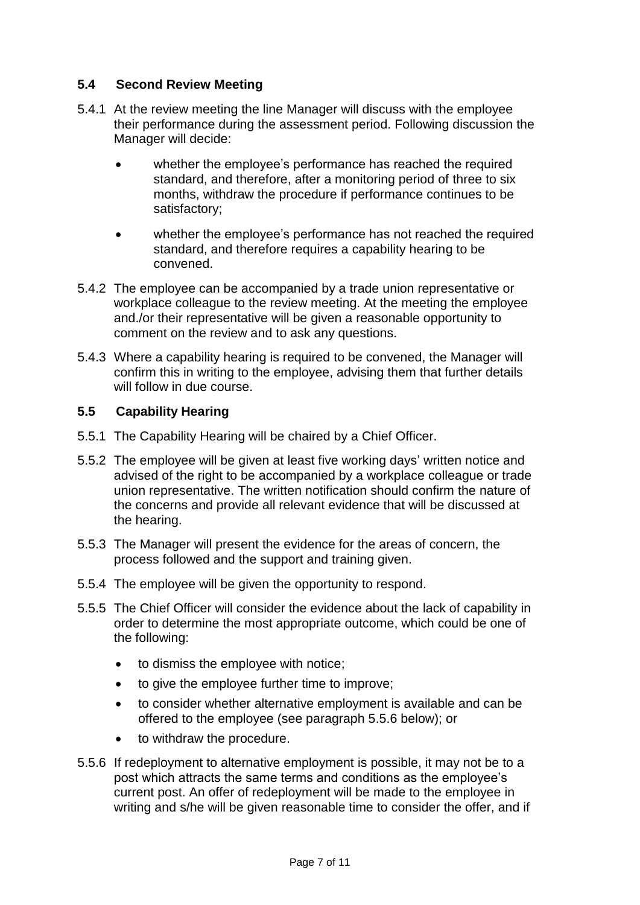#### **5.4 Second Review Meeting**

- 5.4.1 At the review meeting the line Manager will discuss with the employee their performance during the assessment period. Following discussion the Manager will decide:
	- whether the employee's performance has reached the required standard, and therefore, after a monitoring period of three to six months, withdraw the procedure if performance continues to be satisfactory;
	- whether the employee's performance has not reached the required standard, and therefore requires a capability hearing to be convened.
- 5.4.2 The employee can be accompanied by a trade union representative or workplace colleague to the review meeting. At the meeting the employee and./or their representative will be given a reasonable opportunity to comment on the review and to ask any questions.
- 5.4.3 Where a capability hearing is required to be convened, the Manager will confirm this in writing to the employee, advising them that further details will follow in due course.

#### **5.5 Capability Hearing**

- 5.5.1 The Capability Hearing will be chaired by a Chief Officer.
- 5.5.2 The employee will be given at least five working days' written notice and advised of the right to be accompanied by a workplace colleague or trade union representative. The written notification should confirm the nature of the concerns and provide all relevant evidence that will be discussed at the hearing.
- 5.5.3 The Manager will present the evidence for the areas of concern, the process followed and the support and training given.
- 5.5.4 The employee will be given the opportunity to respond.
- 5.5.5 The Chief Officer will consider the evidence about the lack of capability in order to determine the most appropriate outcome, which could be one of the following:
	- to dismiss the employee with notice;
	- to give the employee further time to improve;
	- to consider whether alternative employment is available and can be offered to the employee (see paragraph 5.5.6 below); or
	- to withdraw the procedure.
- 5.5.6 If redeployment to alternative employment is possible, it may not be to a post which attracts the same terms and conditions as the employee's current post. An offer of redeployment will be made to the employee in writing and s/he will be given reasonable time to consider the offer, and if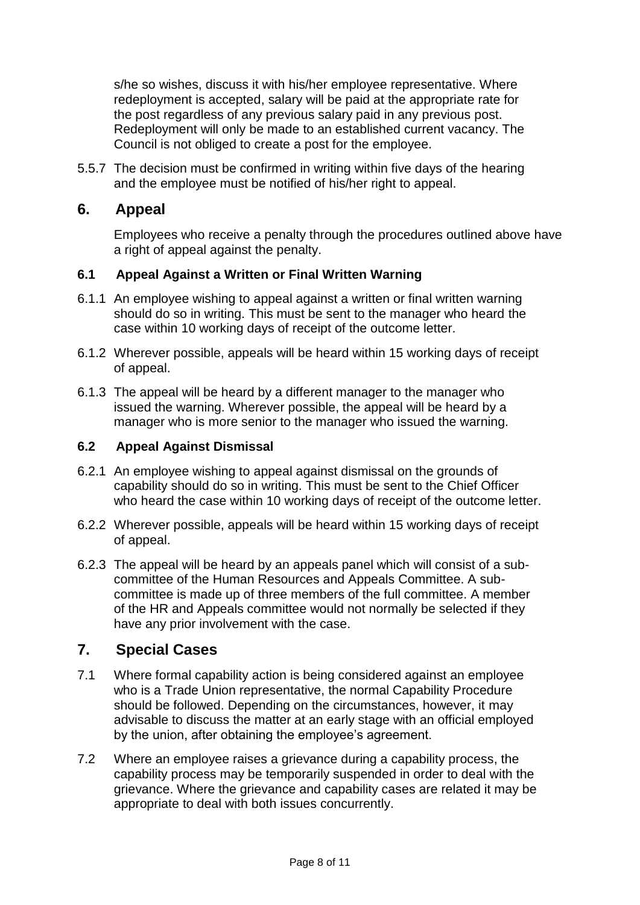s/he so wishes, discuss it with his/her employee representative. Where redeployment is accepted, salary will be paid at the appropriate rate for the post regardless of any previous salary paid in any previous post. Redeployment will only be made to an established current vacancy. The Council is not obliged to create a post for the employee.

5.5.7 The decision must be confirmed in writing within five days of the hearing and the employee must be notified of his/her right to appeal.

# **6. Appeal**

Employees who receive a penalty through the procedures outlined above have a right of appeal against the penalty.

#### **6.1 Appeal Against a Written or Final Written Warning**

- 6.1.1 An employee wishing to appeal against a written or final written warning should do so in writing. This must be sent to the manager who heard the case within 10 working days of receipt of the outcome letter.
- 6.1.2 Wherever possible, appeals will be heard within 15 working days of receipt of appeal.
- 6.1.3 The appeal will be heard by a different manager to the manager who issued the warning. Wherever possible, the appeal will be heard by a manager who is more senior to the manager who issued the warning.

#### **6.2 Appeal Against Dismissal**

- 6.2.1 An employee wishing to appeal against dismissal on the grounds of capability should do so in writing. This must be sent to the Chief Officer who heard the case within 10 working days of receipt of the outcome letter.
- 6.2.2 Wherever possible, appeals will be heard within 15 working days of receipt of appeal.
- 6.2.3 The appeal will be heard by an appeals panel which will consist of a subcommittee of the Human Resources and Appeals Committee. A subcommittee is made up of three members of the full committee. A member of the HR and Appeals committee would not normally be selected if they have any prior involvement with the case.

# **7. Special Cases**

- 7.1 Where formal capability action is being considered against an employee who is a Trade Union representative, the normal Capability Procedure should be followed. Depending on the circumstances, however, it may advisable to discuss the matter at an early stage with an official employed by the union, after obtaining the employee's agreement.
- 7.2 Where an employee raises a grievance during a capability process, the capability process may be temporarily suspended in order to deal with the grievance. Where the grievance and capability cases are related it may be appropriate to deal with both issues concurrently.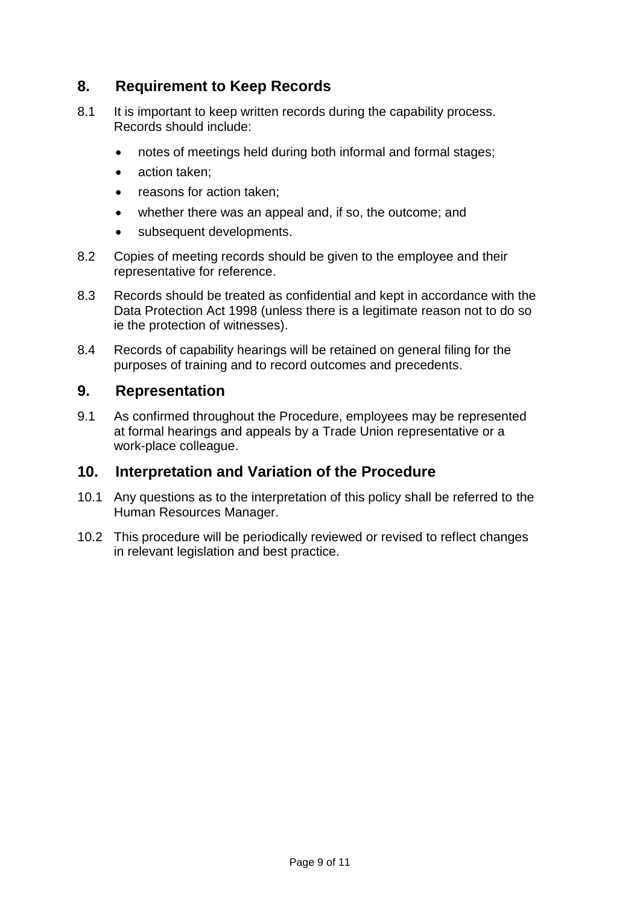# **8. Requirement to Keep Records**

- 8.1 It is important to keep written records during the capability process. Records should include:
	- notes of meetings held during both informal and formal stages;
	- action taken:
	- reasons for action taken;
	- whether there was an appeal and, if so, the outcome; and
	- subsequent developments.
- 8.2 Copies of meeting records should be given to the employee and their representative for reference.
- 8.3 Records should be treated as confidential and kept in accordance with the Data Protection Act 1998 (unless there is a legitimate reason not to do so ie the protection of witnesses).
- 8.4 Records of capability hearings will be retained on general filing for the purposes of training and to record outcomes and precedents.

# **9. Representation**

9.1 As confirmed throughout the Procedure, employees may be represented at formal hearings and appeals by a Trade Union representative or a work-place colleague.

### **10. Interpretation and Variation of the Procedure**

- 10.1 Any questions as to the interpretation of this policy shall be referred to the Human Resources Manager.
- 10.2 This procedure will be periodically reviewed or revised to reflect changes in relevant legislation and best practice.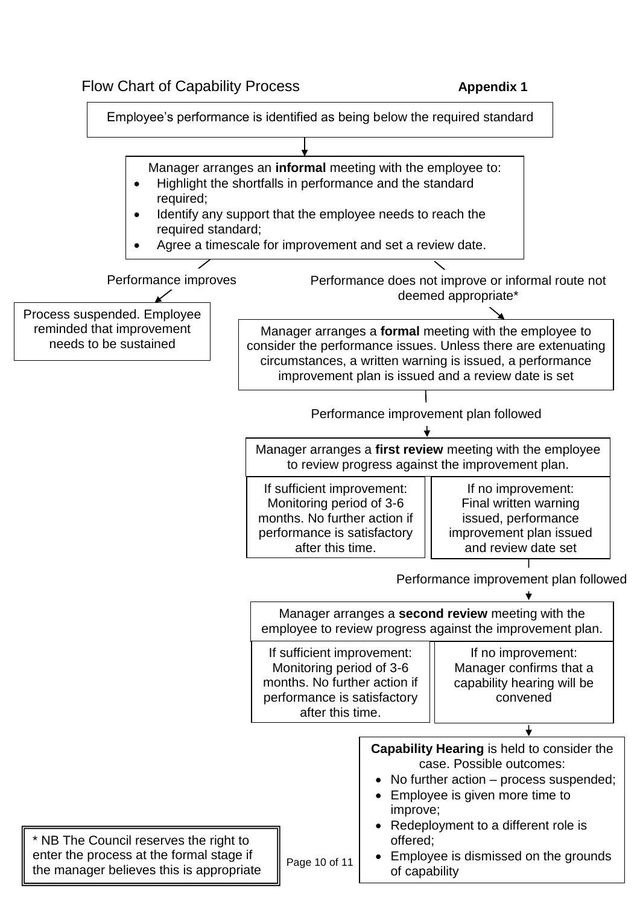